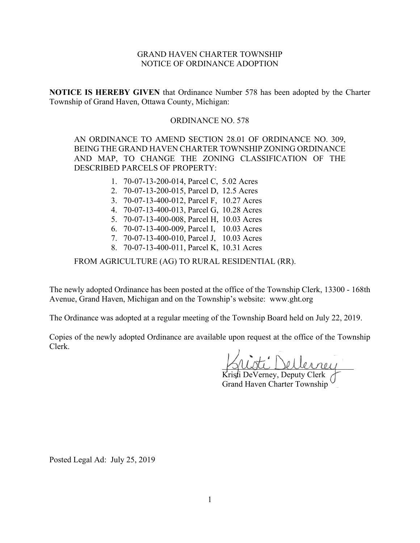# GRAND HAVEN CHARTER TOWNSHIP NOTICE OF ORDINANCE ADOPTION

**NOTICE IS HEREBY GIVEN** that Ordinance Number 578 has been adopted by the Charter Township of Grand Haven, Ottawa County, Michigan:

### ORDINANCE NO. 578

AN ORDINANCE TO AMEND SECTION 28.01 OF ORDINANCE NO. 309, BEING THE GRAND HAVEN CHARTER TOWNSHIP ZONING ORDINANCE AND MAP, TO CHANGE THE ZONING CLASSIFICATION OF THE DESCRIBED PARCELS OF PROPERTY:

- 1. 70-07-13-200-014, Parcel C, 5.02 Acres
- 2. 70-07-13-200-015, Parcel D, 12.5 Acres
- 3. 70-07-13-400-012, Parcel F, 10.27 Acres
- 4. 70-07-13-400-013, Parcel G, 10.28 Acres
- 5. 70-07-13-400-008, Parcel H, 10.03 Acres
- 6. 70-07-13-400-009, Parcel I, 10.03 Acres
- 7. 70-07-13-400-010, Parcel J, 10.03 Acres
- 8. 70-07-13-400-011, Parcel K, 10.31 Acres

FROM AGRICULTURE (AG) TO RURAL RESIDENTIAL (RR).

The newly adopted Ordinance has been posted at the office of the Township Clerk, 13300 - 168th Avenue, Grand Haven, Michigan and on the Township's website: www.ght.org

The Ordinance was adopted at a regular meeting of the Township Board held on July 22, 2019.

Copies of the newly adopted Ordinance are available upon request at the office of the Township Clerk.

\_\_\_\_\_\_\_\_\_\_\_\_\_\_\_\_\_\_\_\_\_\_\_\_\_\_\_\_\_\_\_\_

Kristi DeVerney, Deputy Clerk Grand Haven Charter Township

Posted Legal Ad: July 25, 2019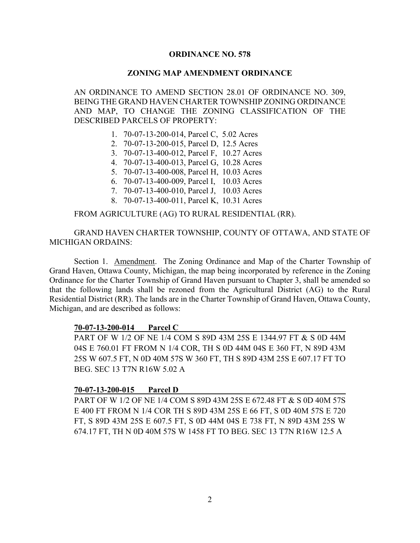# **ORDINANCE NO. 578**

# **ZONING MAP AMENDMENT ORDINANCE**

AN ORDINANCE TO AMEND SECTION 28.01 OF ORDINANCE NO. 309, BEING THE GRAND HAVEN CHARTER TOWNSHIP ZONING ORDINANCE AND MAP, TO CHANGE THE ZONING CLASSIFICATION OF THE DESCRIBED PARCELS OF PROPERTY:

- 1. 70-07-13-200-014, Parcel C, 5.02 Acres
- 2. 70-07-13-200-015, Parcel D, 12.5 Acres
- 3. 70-07-13-400-012, Parcel F, 10.27 Acres
- 4. 70-07-13-400-013, Parcel G, 10.28 Acres
- 5. 70-07-13-400-008, Parcel H, 10.03 Acres
- 6. 70-07-13-400-009, Parcel I, 10.03 Acres
- 7. 70-07-13-400-010, Parcel J, 10.03 Acres
- 8. 70-07-13-400-011, Parcel K, 10.31 Acres

# FROM AGRICULTURE (AG) TO RURAL RESIDENTIAL (RR).

GRAND HAVEN CHARTER TOWNSHIP, COUNTY OF OTTAWA, AND STATE OF MICHIGAN ORDAINS:

Section 1. Amendment. The Zoning Ordinance and Map of the Charter Township of Grand Haven, Ottawa County, Michigan, the map being incorporated by reference in the Zoning Ordinance for the Charter Township of Grand Haven pursuant to Chapter 3, shall be amended so that the following lands shall be rezoned from the Agricultural District (AG) to the Rural Residential District (RR). The lands are in the Charter Township of Grand Haven, Ottawa County, Michigan, and are described as follows:

#### **70-07-13-200-014 Parcel C**

PART OF W 1/2 OF NE 1/4 COM S 89D 43M 25S E 1344.97 FT & S 0D 44M 04S E 760.01 FT FROM N 1/4 COR, TH S 0D 44M 04S E 360 FT, N 89D 43M 25S W 607.5 FT, N 0D 40M 57S W 360 FT, TH S 89D 43M 25S E 607.17 FT TO BEG. SEC 13 T7N R16W 5.02 A

# **70-07-13-200-015 Parcel D**

PART OF W 1/2 OF NE 1/4 COM S 89D 43M 25S E 672.48 FT & S 0D 40M 57S E 400 FT FROM N 1/4 COR TH S 89D 43M 25S E 66 FT, S 0D 40M 57S E 720 FT, S 89D 43M 25S E 607.5 FT, S 0D 44M 04S E 738 FT, N 89D 43M 25S W 674.17 FT, TH N 0D 40M 57S W 1458 FT TO BEG. SEC 13 T7N R16W 12.5 A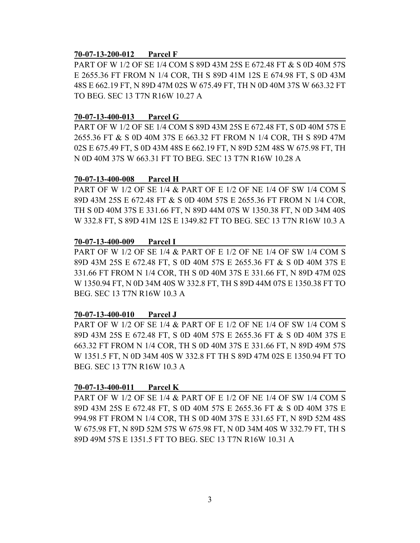#### **70-07-13-200-012 Parcel F**

PART OF W 1/2 OF SE 1/4 COM S 89D 43M 25S E 672.48 FT & S 0D 40M 57S E 2655.36 FT FROM N 1/4 COR, TH S 89D 41M 12S E 674.98 FT, S 0D 43M 48S E 662.19 FT, N 89D 47M 02S W 675.49 FT, TH N 0D 40M 37S W 663.32 FT TO BEG. SEC 13 T7N R16W 10.27 A

### **70-07-13-400-013 Parcel G**

PART OF W 1/2 OF SE 1/4 COM S 89D 43M 25S E 672.48 FT, S 0D 40M 57S E 2655.36 FT & S 0D 40M 37S E 663.32 FT FROM N 1/4 COR, TH S 89D 47M 02S E 675.49 FT, S 0D 43M 48S E 662.19 FT, N 89D 52M 48S W 675.98 FT, TH N 0D 40M 37S W 663.31 FT TO BEG. SEC 13 T7N R16W 10.28 A

### **70-07-13-400-008 Parcel H**

PART OF W 1/2 OF SE 1/4 & PART OF E 1/2 OF NE 1/4 OF SW 1/4 COM S 89D 43M 25S E 672.48 FT & S 0D 40M 57S E 2655.36 FT FROM N 1/4 COR, TH S 0D 40M 37S E 331.66 FT, N 89D 44M 07S W 1350.38 FT, N 0D 34M 40S W 332.8 FT, S 89D 41M 12S E 1349.82 FT TO BEG. SEC 13 T7N R16W 10.3 A

### **70-07-13-400-009 Parcel I**

PART OF W 1/2 OF SE 1/4 & PART OF E 1/2 OF NE 1/4 OF SW 1/4 COM S 89D 43M 25S E 672.48 FT, S 0D 40M 57S E 2655.36 FT & S 0D 40M 37S E 331.66 FT FROM N 1/4 COR, TH S 0D 40M 37S E 331.66 FT, N 89D 47M 02S W 1350.94 FT, N 0D 34M 40S W 332.8 FT, TH S 89D 44M 07S E 1350.38 FT TO BEG. SEC 13 T7N R16W 10.3 A

# **70-07-13-400-010 Parcel J**

PART OF W 1/2 OF SE 1/4 & PART OF E 1/2 OF NE 1/4 OF SW 1/4 COM S 89D 43M 25S E 672.48 FT, S 0D 40M 57S E 2655.36 FT & S 0D 40M 37S E 663.32 FT FROM N 1/4 COR, TH S 0D 40M 37S E 331.66 FT, N 89D 49M 57S W 1351.5 FT, N 0D 34M 40S W 332.8 FT TH S 89D 47M 02S E 1350.94 FT TO BEG. SEC 13 T7N R16W 10.3 A

# **70-07-13-400-011 Parcel K**

PART OF W 1/2 OF SE 1/4 & PART OF E 1/2 OF NE 1/4 OF SW 1/4 COM S 89D 43M 25S E 672.48 FT, S 0D 40M 57S E 2655.36 FT & S 0D 40M 37S E 994.98 FT FROM N 1/4 COR, TH S 0D 40M 37S E 331.65 FT, N 89D 52M 48S W 675.98 FT, N 89D 52M 57S W 675.98 FT, N 0D 34M 40S W 332.79 FT, TH S 89D 49M 57S E 1351.5 FT TO BEG. SEC 13 T7N R16W 10.31 A